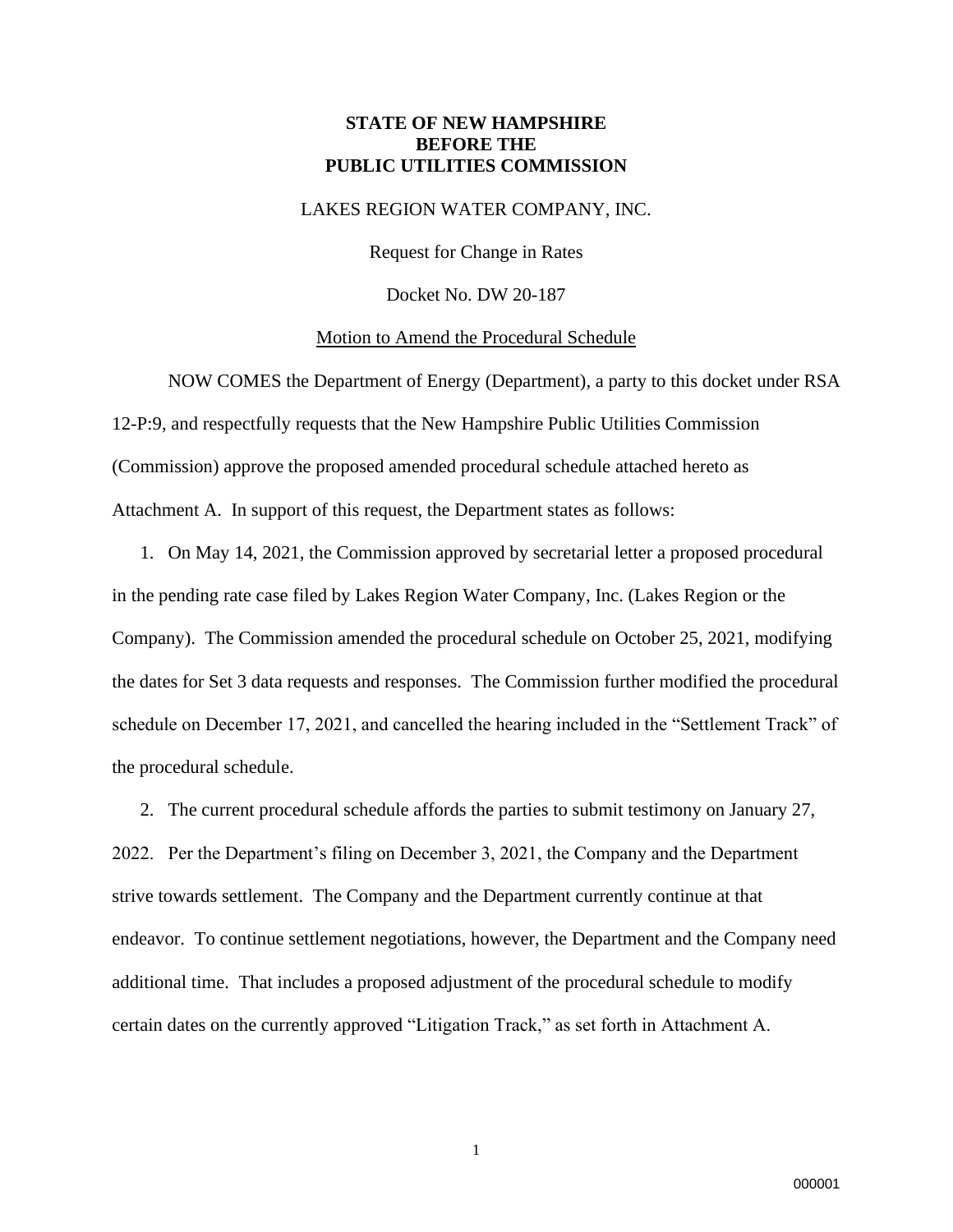### **STATE OF NEW HAMPSHIRE BEFORE THE PUBLIC UTILITIES COMMISSION**

### LAKES REGION WATER COMPANY, INC.

Request for Change in Rates

Docket No. DW 20-187

#### Motion to Amend the Procedural Schedule

NOW COMES the Department of Energy (Department), a party to this docket under RSA 12-P:9, and respectfully requests that the New Hampshire Public Utilities Commission (Commission) approve the proposed amended procedural schedule attached hereto as Attachment A. In support of this request, the Department states as follows:

1. On May 14, 2021, the Commission approved by secretarial letter a proposed procedural in the pending rate case filed by Lakes Region Water Company, Inc. (Lakes Region or the Company). The Commission amended the procedural schedule on October 25, 2021, modifying the dates for Set 3 data requests and responses. The Commission further modified the procedural schedule on December 17, 2021, and cancelled the hearing included in the "Settlement Track" of the procedural schedule.

2. The current procedural schedule affords the parties to submit testimony on January 27, 2022. Per the Department's filing on December 3, 2021, the Company and the Department strive towards settlement. The Company and the Department currently continue at that endeavor. To continue settlement negotiations, however, the Department and the Company need additional time. That includes a proposed adjustment of the procedural schedule to modify certain dates on the currently approved "Litigation Track," as set forth in Attachment A.

1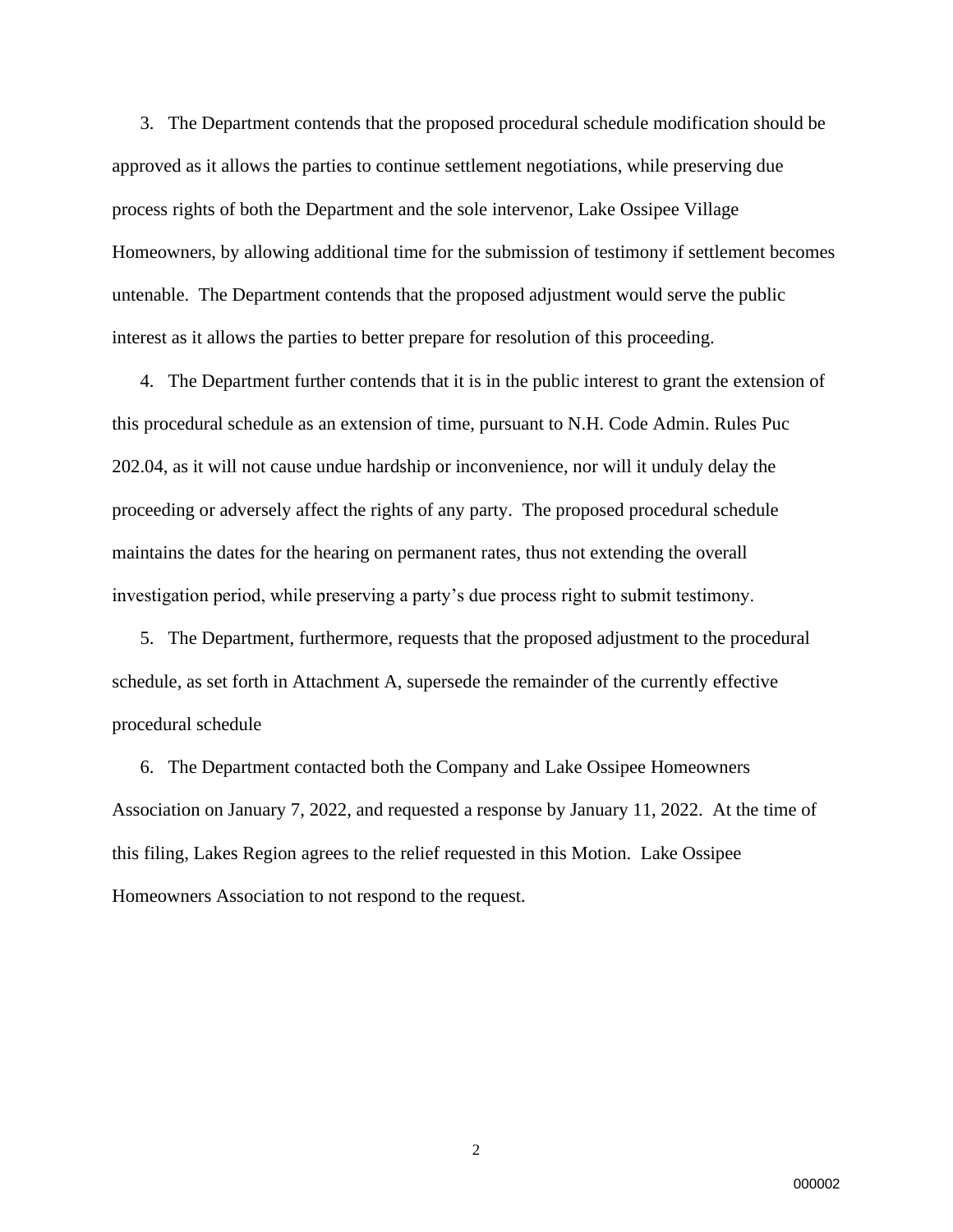3. The Department contends that the proposed procedural schedule modification should be approved as it allows the parties to continue settlement negotiations, while preserving due process rights of both the Department and the sole intervenor, Lake Ossipee Village Homeowners, by allowing additional time for the submission of testimony if settlement becomes untenable. The Department contends that the proposed adjustment would serve the public interest as it allows the parties to better prepare for resolution of this proceeding.

4. The Department further contends that it is in the public interest to grant the extension of this procedural schedule as an extension of time, pursuant to N.H. Code Admin. Rules Puc 202.04, as it will not cause undue hardship or inconvenience, nor will it unduly delay the proceeding or adversely affect the rights of any party. The proposed procedural schedule maintains the dates for the hearing on permanent rates, thus not extending the overall investigation period, while preserving a party's due process right to submit testimony.

5. The Department, furthermore, requests that the proposed adjustment to the procedural schedule, as set forth in Attachment A, supersede the remainder of the currently effective procedural schedule

6. The Department contacted both the Company and Lake Ossipee Homeowners Association on January 7, 2022, and requested a response by January 11, 2022. At the time of this filing, Lakes Region agrees to the relief requested in this Motion. Lake Ossipee Homeowners Association to not respond to the request.

2